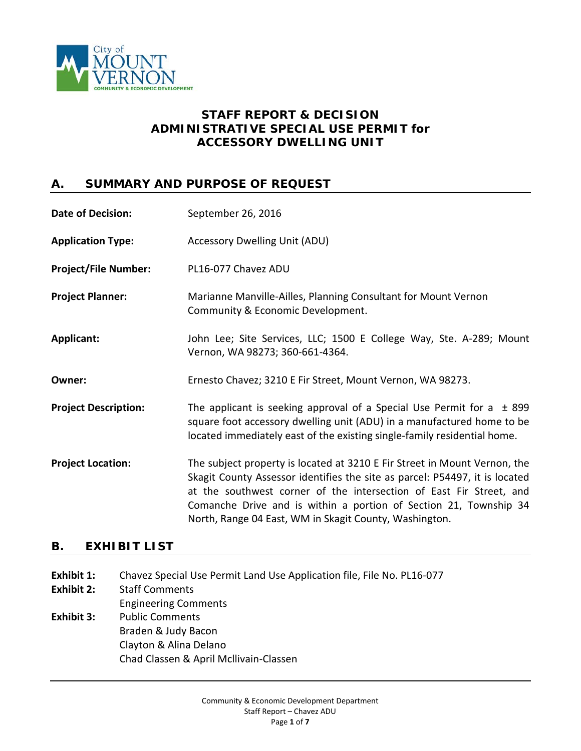

# **STAFF REPORT & DECISION ADMINISTRATIVE SPECIAL USE PERMIT** *for* **ACCESSORY DWELLING UNIT**

## **A. SUMMARY AND PURPOSE OF REQUEST**

| <b>Date of Decision:</b>    | September 26, 2016                                                                                                                                                                                                                                                                                                                                             |
|-----------------------------|----------------------------------------------------------------------------------------------------------------------------------------------------------------------------------------------------------------------------------------------------------------------------------------------------------------------------------------------------------------|
| <b>Application Type:</b>    | <b>Accessory Dwelling Unit (ADU)</b>                                                                                                                                                                                                                                                                                                                           |
| <b>Project/File Number:</b> | PL16-077 Chavez ADU                                                                                                                                                                                                                                                                                                                                            |
| <b>Project Planner:</b>     | Marianne Manville-Ailles, Planning Consultant for Mount Vernon<br>Community & Economic Development.                                                                                                                                                                                                                                                            |
| Applicant:                  | John Lee; Site Services, LLC; 1500 E College Way, Ste. A-289; Mount<br>Vernon, WA 98273; 360-661-4364.                                                                                                                                                                                                                                                         |
| Owner:                      | Ernesto Chavez; 3210 E Fir Street, Mount Vernon, WA 98273.                                                                                                                                                                                                                                                                                                     |
| <b>Project Description:</b> | The applicant is seeking approval of a Special Use Permit for a $\pm$ 899<br>square foot accessory dwelling unit (ADU) in a manufactured home to be<br>located immediately east of the existing single-family residential home.                                                                                                                                |
| <b>Project Location:</b>    | The subject property is located at 3210 E Fir Street in Mount Vernon, the<br>Skagit County Assessor identifies the site as parcel: P54497, it is located<br>at the southwest corner of the intersection of East Fir Street, and<br>Comanche Drive and is within a portion of Section 21, Township 34<br>North, Range 04 East, WM in Skagit County, Washington. |

# **B. EXHIBIT LIST**

- **Exhibit 1:** Chavez Special Use Permit Land Use Application file, File No. PL16-077
- **Exhibit 2:** Staff Comments
- Engineering Comments
- **Exhibit 3:** Public Comments Braden & Judy Bacon Clayton & Alina Delano Chad Classen & April Mcllivain-Classen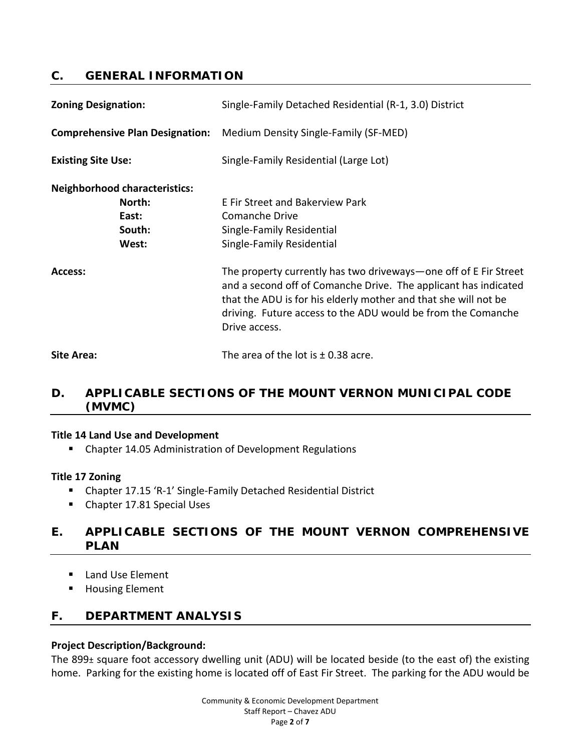### **C. GENERAL INFORMATION**

| <b>Zoning Designation:</b>                                                 | Single-Family Detached Residential (R-1, 3.0) District                                                                                                                                                                                                                                  |
|----------------------------------------------------------------------------|-----------------------------------------------------------------------------------------------------------------------------------------------------------------------------------------------------------------------------------------------------------------------------------------|
| <b>Comprehensive Plan Designation:</b>                                     | Medium Density Single-Family (SF-MED)                                                                                                                                                                                                                                                   |
| <b>Existing Site Use:</b>                                                  | Single-Family Residential (Large Lot)                                                                                                                                                                                                                                                   |
| <b>Neighborhood characteristics:</b><br>North:<br>East:<br>South:<br>West: | E Fir Street and Bakerview Park<br>Comanche Drive<br>Single-Family Residential<br>Single-Family Residential                                                                                                                                                                             |
| Access:                                                                    | The property currently has two driveways—one off of E Fir Street<br>and a second off of Comanche Drive. The applicant has indicated<br>that the ADU is for his elderly mother and that she will not be<br>driving. Future access to the ADU would be from the Comanche<br>Drive access. |
| Site Area:                                                                 | The area of the lot is $\pm$ 0.38 acre.                                                                                                                                                                                                                                                 |

# **D. APPLICABLE SECTIONS OF THE MOUNT VERNON MUNICIPAL CODE (MVMC)**

#### **Title 14 Land Use and Development**

Chapter 14.05 Administration of Development Regulations

### **Title 17 Zoning**

- Chapter 17.15 'R-1' Single-Family Detached Residential District
- Chapter 17.81 Special Uses

## **E. APPLICABLE SECTIONS OF THE MOUNT VERNON COMPREHENSIVE PLAN**

- Land Use Element
- **Housing Element**

### **F. DEPARTMENT ANALYSIS**

### **Project Description/Background:**

The 899± square foot accessory dwelling unit (ADU) will be located beside (to the east of) the existing home. Parking for the existing home is located off of East Fir Street. The parking for the ADU would be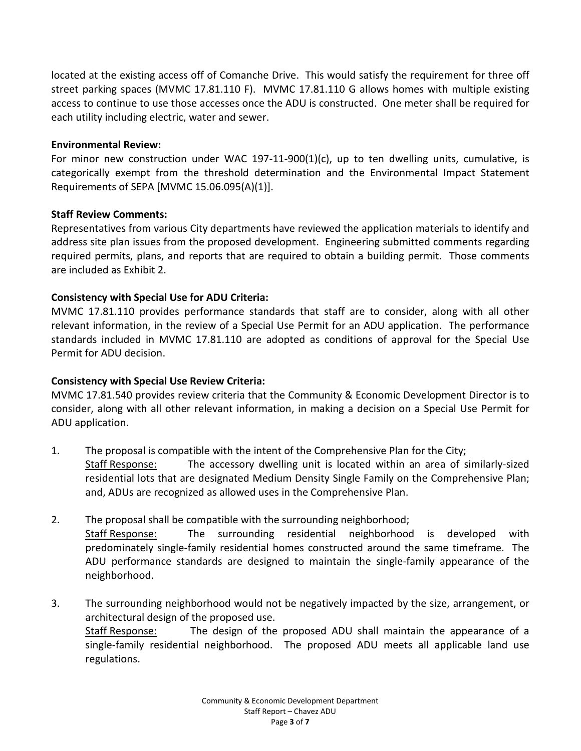located at the existing access off of Comanche Drive. This would satisfy the requirement for three off street parking spaces (MVMC 17.81.110 F). MVMC 17.81.110 G allows homes with multiple existing access to continue to use those accesses once the ADU is constructed. One meter shall be required for each utility including electric, water and sewer.

### **Environmental Review:**

For minor new construction under WAC 197-11-900(1)(c), up to ten dwelling units, cumulative, is categorically exempt from the threshold determination and the Environmental Impact Statement Requirements of SEPA [MVMC 15.06.095(A)(1)].

### **Staff Review Comments:**

Representatives from various City departments have reviewed the application materials to identify and address site plan issues from the proposed development. Engineering submitted comments regarding required permits, plans, and reports that are required to obtain a building permit. Those comments are included as Exhibit 2.

### **Consistency with Special Use for ADU Criteria:**

MVMC 17.81.110 provides performance standards that staff are to consider, along with all other relevant information, in the review of a Special Use Permit for an ADU application. The performance standards included in MVMC 17.81.110 are adopted as conditions of approval for the Special Use Permit for ADU decision.

### **Consistency with Special Use Review Criteria:**

MVMC 17.81.540 provides review criteria that the Community & Economic Development Director is to consider, along with all other relevant information, in making a decision on a Special Use Permit for ADU application.

- 1. The proposal is compatible with the intent of the Comprehensive Plan for the City; Staff Response: The accessory dwelling unit is located within an area of similarly-sized residential lots that are designated Medium Density Single Family on the Comprehensive Plan; and, ADUs are recognized as allowed uses in the Comprehensive Plan.
- 2. The proposal shall be compatible with the surrounding neighborhood; Staff Response: The surrounding residential neighborhood is developed with predominately single-family residential homes constructed around the same timeframe. The ADU performance standards are designed to maintain the single-family appearance of the neighborhood.
- 3. The surrounding neighborhood would not be negatively impacted by the size, arrangement, or architectural design of the proposed use. Staff Response: The design of the proposed ADU shall maintain the appearance of a single-family residential neighborhood. The proposed ADU meets all applicable land use regulations.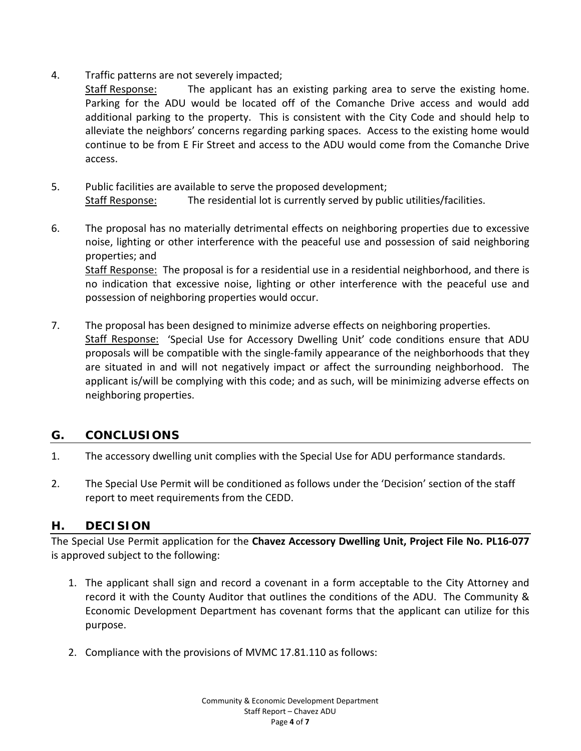4. Traffic patterns are not severely impacted;

Staff Response: The applicant has an existing parking area to serve the existing home. Parking for the ADU would be located off of the Comanche Drive access and would add additional parking to the property. This is consistent with the City Code and should help to alleviate the neighbors' concerns regarding parking spaces. Access to the existing home would continue to be from E Fir Street and access to the ADU would come from the Comanche Drive access.

- 5. Public facilities are available to serve the proposed development; Staff Response: The residential lot is currently served by public utilities/facilities.
- 6. The proposal has no materially detrimental effects on neighboring properties due to excessive noise, lighting or other interference with the peaceful use and possession of said neighboring properties; and Staff Response: The proposal is for a residential use in a residential neighborhood, and there is no indication that excessive noise, lighting or other interference with the peaceful use and possession of neighboring properties would occur.
- 7. The proposal has been designed to minimize adverse effects on neighboring properties. Staff Response: 'Special Use for Accessory Dwelling Unit' code conditions ensure that ADU proposals will be compatible with the single-family appearance of the neighborhoods that they are situated in and will not negatively impact or affect the surrounding neighborhood. The applicant is/will be complying with this code; and as such, will be minimizing adverse effects on neighboring properties.

# **G. CONCLUSIONS**

- 1. The accessory dwelling unit complies with the Special Use for ADU performance standards.
- 2. The Special Use Permit will be conditioned as follows under the 'Decision' section of the staff report to meet requirements from the CEDD.

### **H. DECISION**

The Special Use Permit application for the **Chavez Accessory Dwelling Unit, Project File No. PL16-077** is approved subject to the following:

- 1. The applicant shall sign and record a covenant in a form acceptable to the City Attorney and record it with the County Auditor that outlines the conditions of the ADU. The Community & Economic Development Department has covenant forms that the applicant can utilize for this purpose.
- 2. Compliance with the provisions of MVMC 17.81.110 as follows: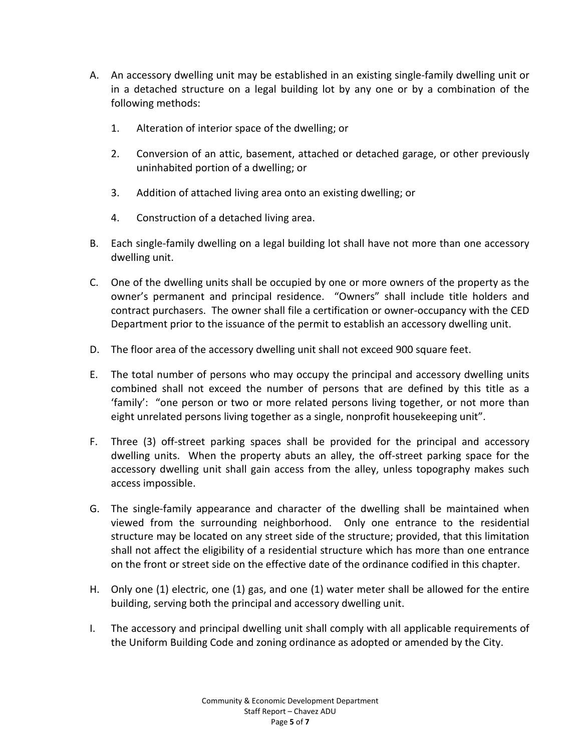- A. An accessory dwelling unit may be established in an existing single-family dwelling unit or in a detached structure on a legal building lot by any one or by a combination of the following methods:
	- 1. Alteration of interior space of the dwelling; or
	- 2. Conversion of an attic, basement, attached or detached garage, or other previously uninhabited portion of a dwelling; or
	- 3. Addition of attached living area onto an existing dwelling; or
	- 4. Construction of a detached living area.
- B. Each single-family dwelling on a legal building lot shall have not more than one accessory dwelling unit.
- C. One of the dwelling units shall be occupied by one or more owners of the property as the owner's permanent and principal residence. "Owners" shall include title holders and contract purchasers. The owner shall file a certification or owner-occupancy with the CED Department prior to the issuance of the permit to establish an accessory dwelling unit.
- D. The floor area of the accessory dwelling unit shall not exceed 900 square feet.
- E. The total number of persons who may occupy the principal and accessory dwelling units combined shall not exceed the number of persons that are defined by this title as a 'family': "one person or two or more related persons living together, or not more than eight unrelated persons living together as a single, nonprofit housekeeping unit".
- F. Three (3) off-street parking spaces shall be provided for the principal and accessory dwelling units. When the property abuts an alley, the off-street parking space for the accessory dwelling unit shall gain access from the alley, unless topography makes such access impossible.
- G. The single-family appearance and character of the dwelling shall be maintained when viewed from the surrounding neighborhood. Only one entrance to the residential structure may be located on any street side of the structure; provided, that this limitation shall not affect the eligibility of a residential structure which has more than one entrance on the front or street side on the effective date of the ordinance codified in this chapter.
- H. Only one (1) electric, one (1) gas, and one (1) water meter shall be allowed for the entire building, serving both the principal and accessory dwelling unit.
- I. The accessory and principal dwelling unit shall comply with all applicable requirements of the Uniform Building Code and zoning ordinance as adopted or amended by the City.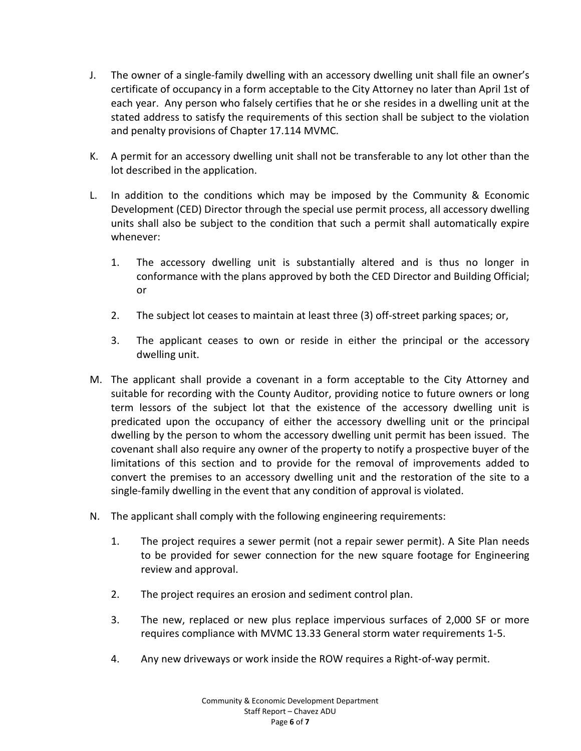- J. The owner of a single-family dwelling with an accessory dwelling unit shall file an owner's certificate of occupancy in a form acceptable to the City Attorney no later than April 1st of each year. Any person who falsely certifies that he or she resides in a dwelling unit at the stated address to satisfy the requirements of this section shall be subject to the violation and penalty provisions of Chapter 17.114 MVMC.
- K. A permit for an accessory dwelling unit shall not be transferable to any lot other than the lot described in the application.
- L. In addition to the conditions which may be imposed by the Community & Economic Development (CED) Director through the special use permit process, all accessory dwelling units shall also be subject to the condition that such a permit shall automatically expire whenever:
	- 1. The accessory dwelling unit is substantially altered and is thus no longer in conformance with the plans approved by both the CED Director and Building Official; or
	- 2. The subject lot ceases to maintain at least three (3) off-street parking spaces; or,
	- 3. The applicant ceases to own or reside in either the principal or the accessory dwelling unit.
- M. The applicant shall provide a covenant in a form acceptable to the City Attorney and suitable for recording with the County Auditor, providing notice to future owners or long term lessors of the subject lot that the existence of the accessory dwelling unit is predicated upon the occupancy of either the accessory dwelling unit or the principal dwelling by the person to whom the accessory dwelling unit permit has been issued. The covenant shall also require any owner of the property to notify a prospective buyer of the limitations of this section and to provide for the removal of improvements added to convert the premises to an accessory dwelling unit and the restoration of the site to a single-family dwelling in the event that any condition of approval is violated.
- N. The applicant shall comply with the following engineering requirements:
	- 1. The project requires a sewer permit (not a repair sewer permit). A Site Plan needs to be provided for sewer connection for the new square footage for Engineering review and approval.
	- 2. The project requires an erosion and sediment control plan.
	- 3. The new, replaced or new plus replace impervious surfaces of 2,000 SF or more requires compliance with MVMC 13.33 General storm water requirements 1-5.
	- 4. Any new driveways or work inside the ROW requires a Right-of-way permit.